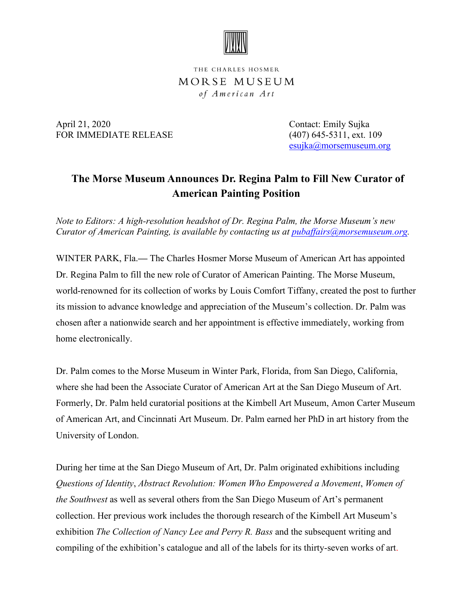

THE CHARLES HOSMER MORSE MUSEUM of American Art

April 21, 2020 Contact: Emily Sujka FOR IMMEDIATE RELEASE (407) 645-5311, ext. 109

esujka@morsemuseum.org

## **The Morse Museum Announces Dr. Regina Palm to Fill New Curator of American Painting Position**

*Note to Editors: A high-resolution headshot of Dr. Regina Palm, the Morse Museum's new [Curator of American Painting](mailto:pubaffairs@morsemuseum.org), is available by contacting us at pubaffairs@morsemuseum.org.* 

WINTER PARK, Fla.**—** The Charles Hosmer Morse Museum of American Art has appointed Dr. Regina Palm to fill the new role of Curator of American Painting. The Morse Museum, world-renowned for its collection of works by Louis Comfort Tiffany, created the post to further its mission to advance knowledge and appreciation of the Museum's collection. Dr. Palm was chosen after a nationwide search and her appointment is effective immediately, working from home electronically.

Dr. Palm comes to the Morse Museum in Winter Park, Florida, from San Diego, California, where she had been the Associate Curator of American Art at the San Diego Museum of Art. Formerly, Dr. Palm held curatorial positions at the Kimbell Art Museum, Amon Carter Museum of American Art, and Cincinnati Art Museum. Dr. Palm earned her PhD in art history from the University of London.

During her time at the San Diego Museum of Art, Dr. Palm originated exhibitions including *Questions of Identity*, *Abstract Revolution: Women Who Empowered a Movement*, *Women of the Southwest* as well as several others from the San Diego Museum of Art's permanent collection. Her previous work includes the thorough research of the Kimbell Art Museum's exhibition *The Collection of Nancy Lee and Perry R. Bass* and the subsequent writing and compiling of the exhibition's catalogue and all of the labels for its thirty-seven works of art.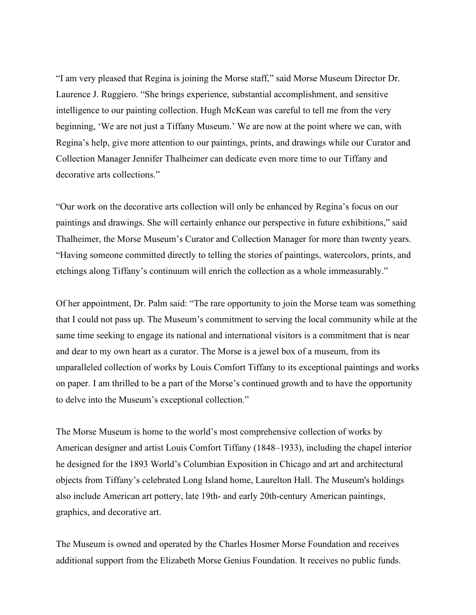"I am very pleased that Regina is joining the Morse staff," said Morse Museum Director Dr. Laurence J. Ruggiero. "She brings experience, substantial accomplishment, and sensitive intelligence to our painting collection. Hugh McKean was careful to tell me from the very beginning, 'We are not just a Tiffany Museum.' We are now at the point where we can, with Regina's help, give more attention to our paintings, prints, and drawings while our Curator and Collection Manager Jennifer Thalheimer can dedicate even more time to our Tiffany and decorative arts collections."

"Our work on the decorative arts collection will only be enhanced by Regina's focus on our paintings and drawings. She will certainly enhance our perspective in future exhibitions," said Thalheimer, the Morse Museum's Curator and Collection Manager for more than twenty years. "Having someone committed directly to telling the stories of paintings, watercolors, prints, and etchings along Tiffany's continuum will enrich the collection as a whole immeasurably."

Of her appointment, Dr. Palm said: "The rare opportunity to join the Morse team was something that I could not pass up. The Museum's commitment to serving the local community while at the same time seeking to engage its national and international visitors is a commitment that is near and dear to my own heart as a curator. The Morse is a jewel box of a museum, from its unparalleled collection of works by Louis Comfort Tiffany to its exceptional paintings and works on paper. I am thrilled to be a part of the Morse's continued growth and to have the opportunity to delve into the Museum's exceptional collection."

The Morse Museum is home to the world's most comprehensive collection of works by American designer and artist Louis Comfort Tiffany (1848–1933), including the chapel interior he designed for the 1893 World's Columbian Exposition in Chicago and art and architectural objects from Tiffany's celebrated Long Island home, Laurelton Hall. The Museum's holdings also include American art pottery, late 19th- and early 20th-century American paintings, graphics, and decorative art.

The Museum is owned and operated by the Charles Hosmer Morse Foundation and receives additional support from the Elizabeth Morse Genius Foundation. It receives no public funds.